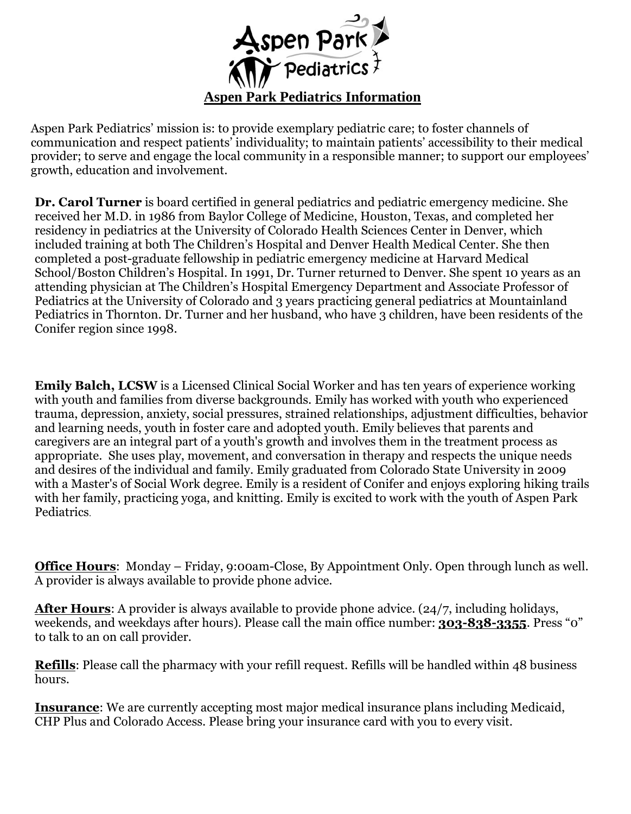

Aspen Park Pediatrics' mission is: to provide exemplary pediatric care; to foster channels of communication and respect patients' individuality; to maintain patients' accessibility to their medical provider; to serve and engage the local community in a responsible manner; to support our employees' growth, education and involvement.

**Dr. Carol Turner** is board certified in general pediatrics and pediatric emergency medicine. She received her M.D. in 1986 from Baylor College of Medicine, Houston, Texas, and completed her residency in pediatrics at the University of Colorado Health Sciences Center in Denver, which included training at both The Children's Hospital and Denver Health Medical Center. She then completed a post-graduate fellowship in pediatric emergency medicine at Harvard Medical School/Boston Children's Hospital. In 1991, Dr. Turner returned to Denver. She spent 10 years as an attending physician at The Children's Hospital Emergency Department and Associate Professor of Pediatrics at the University of Colorado and 3 years practicing general pediatrics at Mountainland Pediatrics in Thornton. Dr. Turner and her husband, who have 3 children, have been residents of the Conifer region since 1998.

**Emily Balch, LCSW** is a Licensed Clinical Social Worker and has ten years of experience working with youth and families from diverse backgrounds. Emily has worked with youth who experienced trauma, depression, anxiety, social pressures, strained relationships, adjustment difficulties, behavior and learning needs, youth in foster care and adopted youth. Emily believes that parents and caregivers are an integral part of a youth's growth and involves them in the treatment process as appropriate. She uses play, movement, and conversation in therapy and respects the unique needs and desires of the individual and family. Emily graduated from Colorado State University in 2009 with a Master's of Social Work degree. Emily is a resident of Conifer and enjoys exploring hiking trails with her family, practicing yoga, and knitting. Emily is excited to work with the youth of Aspen Park Pediatrics.

**Office Hours:** Monday – Friday, 9:00am-Close, By Appointment Only. Open through lunch as well. A provider is always available to provide phone advice.

**After Hours**: A provider is always available to provide phone advice. (24/7, including holidays, weekends, and weekdays after hours). Please call the main office number: **303-838-3355**. Press "0" to talk to an on call provider.

**Refills**: Please call the pharmacy with your refill request. Refills will be handled within 48 business hours.

**Insurance**: We are currently accepting most major medical insurance plans including Medicaid, CHP Plus and Colorado Access. Please bring your insurance card with you to every visit.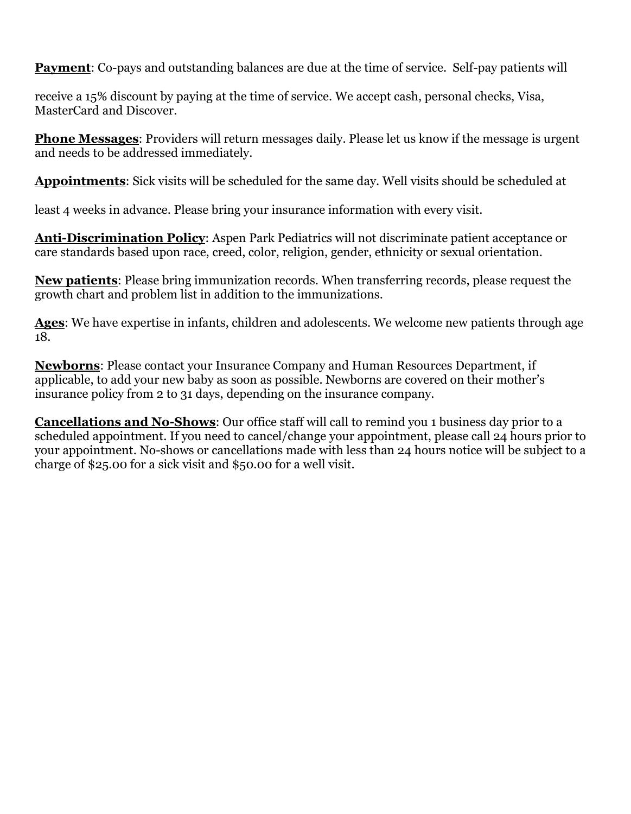**Payment**: Co-pays and outstanding balances are due at the time of service. Self-pay patients will

receive a 15% discount by paying at the time of service. We accept cash, personal checks, Visa, MasterCard and Discover.

**Phone Messages**: Providers will return messages daily. Please let us know if the message is urgent and needs to be addressed immediately.

**Appointments**: Sick visits will be scheduled for the same day. Well visits should be scheduled at

least 4 weeks in advance. Please bring your insurance information with every visit.

**Anti-Discrimination Policy**: Aspen Park Pediatrics will not discriminate patient acceptance or care standards based upon race, creed, color, religion, gender, ethnicity or sexual orientation.

**New patients**: Please bring immunization records. When transferring records, please request the growth chart and problem list in addition to the immunizations.

**Ages**: We have expertise in infants, children and adolescents. We welcome new patients through age 18.

**Newborns**: Please contact your Insurance Company and Human Resources Department, if applicable, to add your new baby as soon as possible. Newborns are covered on their mother's insurance policy from 2 to 31 days, depending on the insurance company.

**Cancellations and No-Shows**: Our office staff will call to remind you 1 business day prior to a scheduled appointment. If you need to cancel/change your appointment, please call 24 hours prior to your appointment. No-shows or cancellations made with less than 24 hours notice will be subject to a charge of \$25.00 for a sick visit and \$50.00 for a well visit.